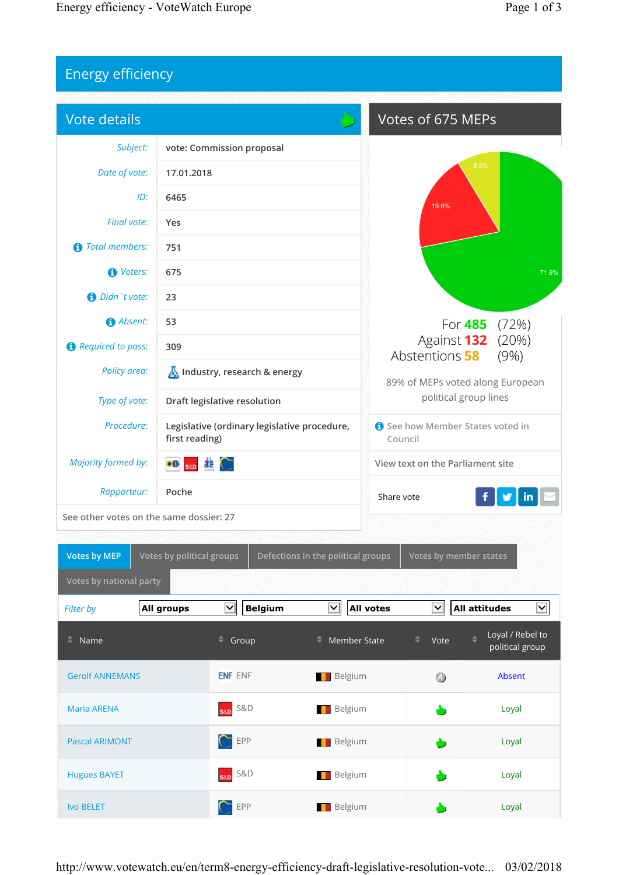## Energy efficiency

| Vote details                            |                                                             |                                            |                                |                                                                                                             | Votes of 675 MEPs                                |                                     |  |
|-----------------------------------------|-------------------------------------------------------------|--------------------------------------------|--------------------------------|-------------------------------------------------------------------------------------------------------------|--------------------------------------------------|-------------------------------------|--|
| Subject:                                |                                                             | vote: Commission proposal                  |                                |                                                                                                             |                                                  |                                     |  |
| Date of vote:                           | 17.01.2018                                                  |                                            |                                |                                                                                                             | 8.6%                                             |                                     |  |
| ID:                                     | 6465                                                        |                                            |                                |                                                                                                             | 19.6%                                            |                                     |  |
| Final vote:                             | Yes                                                         |                                            |                                |                                                                                                             |                                                  |                                     |  |
| <b>Total members:</b><br>61             | 751                                                         |                                            |                                |                                                                                                             |                                                  |                                     |  |
| <b>O</b> Voters:                        | 675                                                         |                                            |                                |                                                                                                             |                                                  | 71.9%                               |  |
| Didn't vote:                            | 23                                                          |                                            |                                |                                                                                                             |                                                  |                                     |  |
| Absent:                                 | 53                                                          |                                            |                                | For <b>485</b> (72%)                                                                                        |                                                  |                                     |  |
| Required to pass:                       | 309                                                         |                                            |                                | Against 132<br>(20%)<br>Abstentions 58<br>(9%)<br>89% of MEPs voted along European<br>political group lines |                                                  |                                     |  |
| Policy area:                            | Industry, research & energy<br>Draft legislative resolution |                                            |                                |                                                                                                             |                                                  |                                     |  |
| Type of vote:                           |                                                             |                                            |                                |                                                                                                             |                                                  |                                     |  |
| Procedure:                              | Legislative (ordinary legislative procedure,                |                                            | See how Member States voted in |                                                                                                             |                                                  |                                     |  |
|                                         |                                                             | first reading)                             |                                | Council                                                                                                     |                                                  |                                     |  |
| <b>Majority formed by:</b>              | a e                                                         |                                            |                                | View text on the Parliament site                                                                            |                                                  |                                     |  |
| Rapporteur:                             | Poche                                                       |                                            |                                | Share vote                                                                                                  |                                                  |                                     |  |
| See other votes on the same dossier: 27 |                                                             |                                            |                                |                                                                                                             |                                                  |                                     |  |
| Votes by MEP                            | Votes by political groups                                   |                                            |                                |                                                                                                             |                                                  |                                     |  |
| Votes by national party                 |                                                             |                                            |                                | Defections in the political groups   Votes by member states                                                 |                                                  |                                     |  |
|                                         |                                                             |                                            |                                |                                                                                                             |                                                  |                                     |  |
| Filter by                               | All groups                                                  | $\blacktriangledown$<br><b>Belgium</b>     | $\blacktriangledown$           | <b>All votes</b>                                                                                            | $\overline{\blacktriangledown}$<br>All attitudes | $\overline{\blacktriangle}$         |  |
| $\hat{=}$ Name                          |                                                             | $\stackrel{\triangle}{\hspace{1em}}$ Group | - Member State                 | ÷                                                                                                           | ٠<br>Vote                                        | Loyal / Rebel to<br>political group |  |
| <b>Gerolf ANNEMANS</b>                  |                                                             | <b>ENF ENF</b>                             | Belgium                        |                                                                                                             | 4                                                | Absent                              |  |
| <b>Maria ARENA</b>                      |                                                             | <b>S&amp;D</b><br>S&D                      | Belgium                        |                                                                                                             |                                                  | Loyal                               |  |
| <b>Pascal ARIMONT</b>                   |                                                             | EPP                                        | <b>Belgium</b>                 |                                                                                                             |                                                  | Loyal                               |  |
| <b>Hugues BAYET</b>                     |                                                             | S&D<br>S&D                                 | <b>Belgium</b>                 |                                                                                                             |                                                  | Loyal                               |  |
| <b>Ivo BELET</b>                        |                                                             | $\bigcap$ EPP                              | <b>Belgium</b>                 |                                                                                                             |                                                  | Loyal                               |  |

http://www.votewatch.eu/en/term8-energy-efficiency-draft-legislative-resolution-vote... 03/02/2018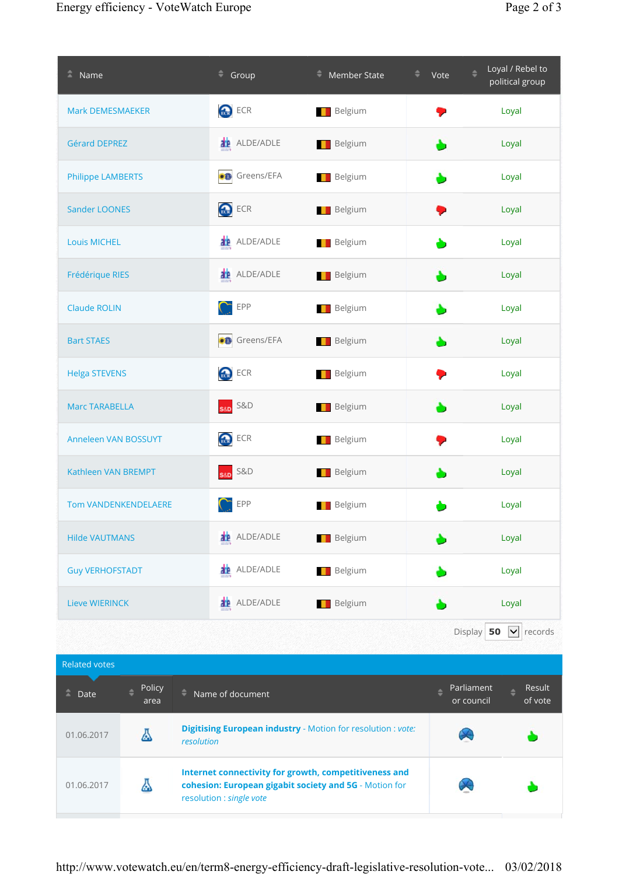| $N = \mathsf{Name}$          | $\equiv$ Group                                                                                                                              | Member State   | Vote                          | Loyal / Rebel to<br>political group |
|------------------------------|---------------------------------------------------------------------------------------------------------------------------------------------|----------------|-------------------------------|-------------------------------------|
| Mark DEMESMAEKER             | <b>R</b> <sub>t</sub>                                                                                                                       | <b>Belgium</b> |                               | Loyal                               |
| <b>Gérard DEPREZ</b>         | <b>22</b> ALDE/ADLE                                                                                                                         | <b>Belgium</b> |                               | Loyal                               |
| <b>Philippe LAMBERTS</b>     | Greens/EFA                                                                                                                                  | <b>Belgium</b> |                               | Loyal                               |
| <b>Sander LOONES</b>         | <b>Reserved</b> ECR                                                                                                                         | <b>Belgium</b> |                               | Loyal                               |
| <b>Louis MICHEL</b>          | <b>20</b> ALDE/ADLE                                                                                                                         | <b>Belgium</b> |                               | Loyal                               |
| Frédérique RIES              | <b>22</b> ALDE/ADLE                                                                                                                         | <b>Belgium</b> |                               | Loyal                               |
| <b>Claude ROLIN</b>          | EPP<br>$\subset$                                                                                                                            | <b>Belgium</b> |                               | Loyal                               |
| <b>Bart STAES</b>            | Greens/EFA                                                                                                                                  | <b>Belgium</b> |                               | Loyal                               |
| <b>Helga STEVENS</b>         | <b>Res</b> ECR                                                                                                                              | <b>Belgium</b> |                               | Loyal                               |
| <b>Marc TARABELLA</b>        | S&D S&D                                                                                                                                     | <b>Belgium</b> |                               | Loyal                               |
| Anneleen VAN BOSSUYT         | <b>B</b> ECR                                                                                                                                | <b>Belgium</b> |                               | Loyal                               |
| Kathleen VAN BREMPT          | S&D S&D                                                                                                                                     | <b>Belgium</b> |                               | Loyal                               |
| <b>Tom VANDENKENDELAERE</b>  | EPP                                                                                                                                         | <b>Belgium</b> |                               | Loyal                               |
| <b>Hilde VAUTMANS</b>        | <b>2</b> ALDE/ADLE                                                                                                                          | <b>Belgium</b> |                               | Loyal                               |
| <b>Guy VERHOFSTADT</b>       | <b>2</b> ALDE/ADLE                                                                                                                          | <b>Belgium</b> |                               | Loyal                               |
| <b>Lieve WIERINCK</b>        | <b>2</b> ALDE/ADLE                                                                                                                          | <b>Belgium</b> |                               | Loyal                               |
|                              |                                                                                                                                             |                | Display 50                    | $\vert \mathbf{v} \vert$ records    |
| Related votes                |                                                                                                                                             |                |                               |                                     |
| Policy<br>Ξ.<br>Date<br>area | ٠<br>Name of document                                                                                                                       |                | Parliament<br>٠<br>or council | Result<br>A<br>of vote              |
| Δ<br>01.06.2017              | Digitising European industry - Motion for resolution : vote:<br>resolution                                                                  |                |                               |                                     |
| Δ<br>01.06.2017              | Internet connectivity for growth, competitiveness and<br>cohesion: European gigabit society and 5G - Motion for<br>resolution : single vote |                |                               |                                     |